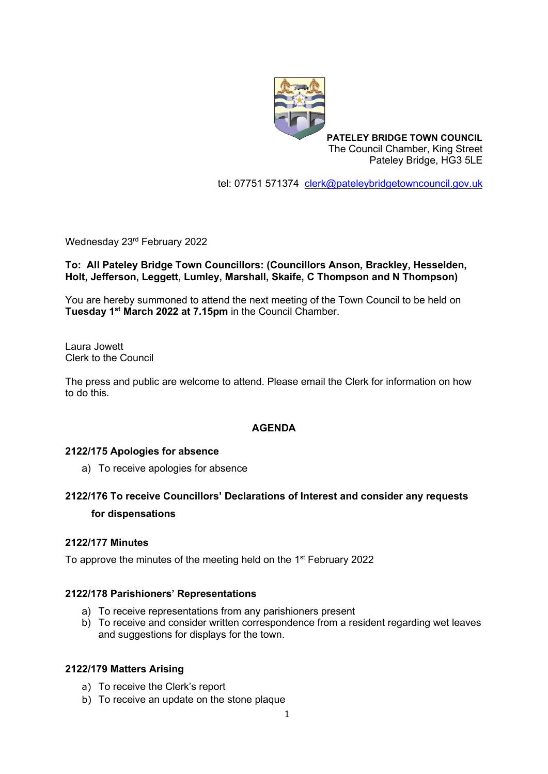

**PATELEY BRIDGE TOWN COUNCIL** The Council Chamber, King Street Pateley Bridge, HG3 5LE

tel: 07751 571374 [clerk@pateleybridgetowncouncil.gov.uk](mailto:clerk@pateleybridgetowncouncil.gov.uk)

Wednesday 23rd February 2022

# **To: All Pateley Bridge Town Councillors: (Councillors Anson, Brackley, Hesselden, Holt, Jefferson, Leggett, Lumley, Marshall, Skaife, C Thompson and N Thompson)**

You are hereby summoned to attend the next meeting of the Town Council to be held on **Tuesday 1 st March 2022 at 7.15pm** in the Council Chamber.

Laura Jowett Clerk to the Council

The press and public are welcome to attend. Please email the Clerk for information on how to do this.

## **AGENDA**

#### **2122/175 Apologies for absence**

a) To receive apologies for absence

# **2122/176 To receive Councillors' Declarations of Interest and consider any requests for dispensations**

#### **2122/177 Minutes**

To approve the minutes of the meeting held on the 1<sup>st</sup> February 2022

#### **2122/178 Parishioners' Representations**

- a) To receive representations from any parishioners present
- b) To receive and consider written correspondence from a resident regarding wet leaves and suggestions for displays for the town.

#### **2122/179 Matters Arising**

- a) To receive the Clerk's report
- b) To receive an update on the stone plaque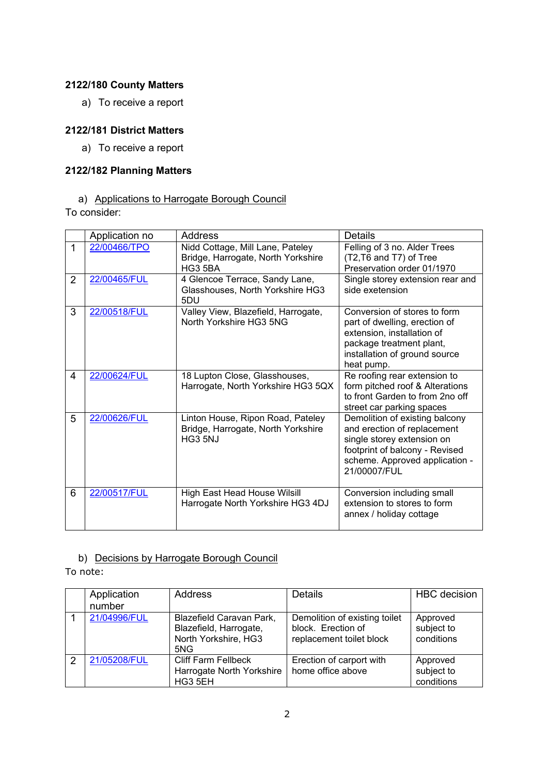# **2122/180 County Matters**

a) To receive a report

# **2122/181 District Matters**

a) To receive a report

### **2122/182 Planning Matters**

a) Applications to Harrogate Borough Council

To consider:

|                | Application no | <b>Address</b>                                                                     | <b>Details</b>                                                                                                                                                                  |
|----------------|----------------|------------------------------------------------------------------------------------|---------------------------------------------------------------------------------------------------------------------------------------------------------------------------------|
| 1              | 22/00466/TPO   | Nidd Cottage, Mill Lane, Pateley<br>Bridge, Harrogate, North Yorkshire<br>HG3 5BA  | Felling of 3 no. Alder Trees<br>(T2, T6 and T7) of Tree<br>Preservation order 01/1970                                                                                           |
| $\overline{2}$ | 22/00465/FUL   | 4 Glencoe Terrace, Sandy Lane,<br>Glasshouses, North Yorkshire HG3<br>5DU          | Single storey extension rear and<br>side exetension                                                                                                                             |
| 3              | 22/00518/FUL   | Valley View, Blazefield, Harrogate,<br>North Yorkshire HG3 5NG                     | Conversion of stores to form<br>part of dwelling, erection of<br>extension, installation of<br>package treatment plant,<br>installation of ground source<br>heat pump.          |
| 4              | 22/00624/FUL   | 18 Lupton Close, Glasshouses,<br>Harrogate, North Yorkshire HG3 5QX                | Re roofing rear extension to<br>form pitched roof & Alterations<br>to front Garden to from 2no off<br>street car parking spaces                                                 |
| 5              | 22/00626/FUL   | Linton House, Ripon Road, Pateley<br>Bridge, Harrogate, North Yorkshire<br>HG3 5NJ | Demolition of existing balcony<br>and erection of replacement<br>single storey extension on<br>footprint of balcony - Revised<br>scheme. Approved application -<br>21/00007/FUL |
| 6              | 22/00517/FUL   | High East Head House Wilsill<br>Harrogate North Yorkshire HG3 4DJ                  | Conversion including small<br>extension to stores to form<br>annex / holiday cottage                                                                                            |

# b) Decisions by Harrogate Borough Council

To note:

|               | Application<br>number | <b>Address</b>                                                                    | <b>Details</b>                                                                  | <b>HBC</b> decision                  |
|---------------|-----------------------|-----------------------------------------------------------------------------------|---------------------------------------------------------------------------------|--------------------------------------|
|               | 21/04996/FUL          | Blazefield Caravan Park,<br>Blazefield, Harrogate,<br>North Yorkshire, HG3<br>5NG | Demolition of existing toilet<br>block. Erection of<br>replacement toilet block | Approved<br>subject to<br>conditions |
| $\mathcal{P}$ | 21/05208/FUL          | <b>Cliff Farm Fellbeck</b><br>Harrogate North Yorkshire<br>HG3 5EH                | Erection of carport with<br>home office above                                   | Approved<br>subject to<br>conditions |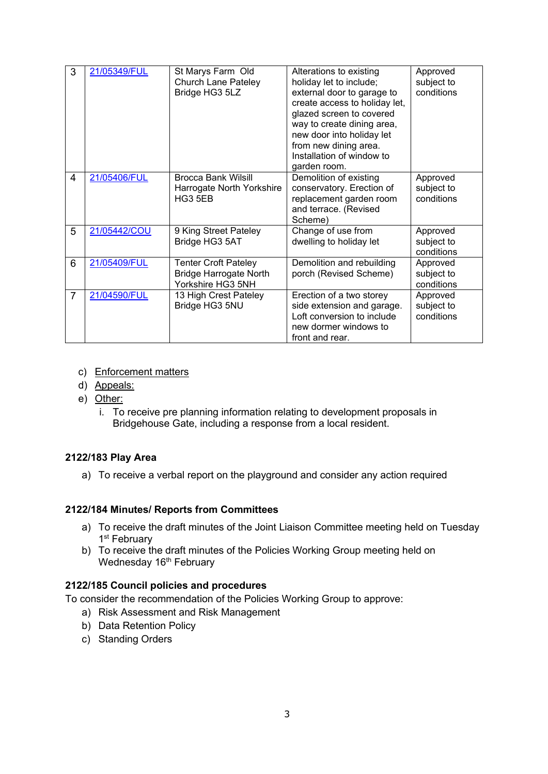| 3              | 21/05349/FUL | St Marys Farm Old<br><b>Church Lane Pateley</b><br>Bridge HG3 5LZ                 | Alterations to existing<br>holiday let to include;<br>external door to garage to<br>create access to holiday let,<br>glazed screen to covered<br>way to create dining area,<br>new door into holiday let<br>from new dining area.<br>Installation of window to<br>garden room. | Approved<br>subject to<br>conditions |
|----------------|--------------|-----------------------------------------------------------------------------------|--------------------------------------------------------------------------------------------------------------------------------------------------------------------------------------------------------------------------------------------------------------------------------|--------------------------------------|
| 4              | 21/05406/FUL | <b>Brocca Bank Wilsill</b><br>Harrogate North Yorkshire<br>HG3 5EB                | Demolition of existing<br>conservatory. Erection of<br>replacement garden room<br>and terrace. (Revised<br>Scheme)                                                                                                                                                             | Approved<br>subject to<br>conditions |
| 5              | 21/05442/COU | 9 King Street Pateley<br>Bridge HG3 5AT                                           | Change of use from<br>dwelling to holiday let                                                                                                                                                                                                                                  | Approved<br>subject to<br>conditions |
| 6              | 21/05409/FUL | <b>Tenter Croft Pateley</b><br><b>Bridge Harrogate North</b><br>Yorkshire HG3 5NH | Demolition and rebuilding<br>porch (Revised Scheme)                                                                                                                                                                                                                            | Approved<br>subject to<br>conditions |
| $\overline{7}$ | 21/04590/FUL | 13 High Crest Pateley<br>Bridge HG3 5NU                                           | Erection of a two storey<br>side extension and garage.<br>Loft conversion to include<br>new dormer windows to<br>front and rear.                                                                                                                                               | Approved<br>subject to<br>conditions |

### c) Enforcement matters

- d) Appeals:
- e) Other:
	- i. To receive pre planning information relating to development proposals in Bridgehouse Gate, including a response from a local resident.

# **2122/183 Play Area**

a) To receive a verbal report on the playground and consider any action required

# **2122/184 Minutes/ Reports from Committees**

- a) To receive the draft minutes of the Joint Liaison Committee meeting held on Tuesday 1<sup>st</sup> February
- b) To receive the draft minutes of the Policies Working Group meeting held on Wednesday 16<sup>th</sup> February

# **2122/185 Council policies and procedures**

To consider the recommendation of the Policies Working Group to approve:

- a) Risk Assessment and Risk Management
- b) Data Retention Policy
- c) Standing Orders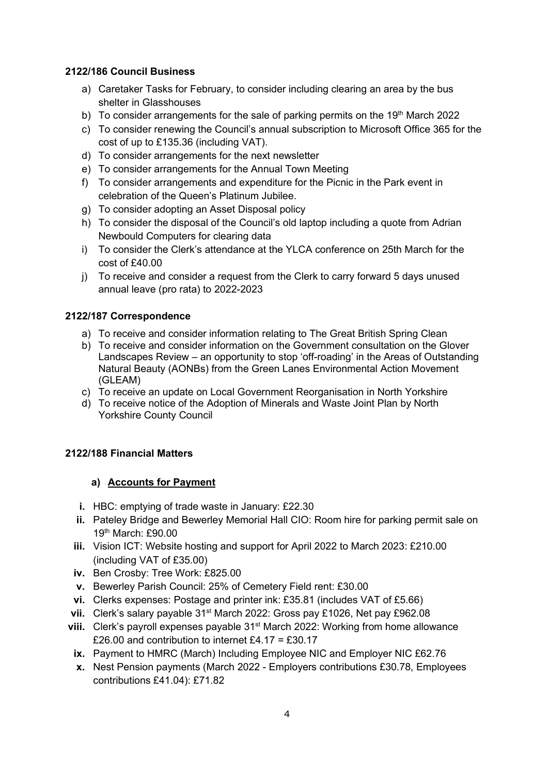# **2122/186 Council Business**

- a) Caretaker Tasks for February, to consider including clearing an area by the bus shelter in Glasshouses
- b) To consider arrangements for the sale of parking permits on the  $19<sup>th</sup>$  March 2022
- c) To consider renewing the Council's annual subscription to Microsoft Office 365 for the cost of up to £135.36 (including VAT).
- d) To consider arrangements for the next newsletter
- e) To consider arrangements for the Annual Town Meeting
- f) To consider arrangements and expenditure for the Picnic in the Park event in celebration of the Queen's Platinum Jubilee.
- g) To consider adopting an Asset Disposal policy
- h) To consider the disposal of the Council's old laptop including a quote from Adrian Newbould Computers for clearing data
- i) To consider the Clerk's attendance at the YLCA conference on 25th March for the cost of £40.00
- j) To receive and consider a request from the Clerk to carry forward 5 days unused annual leave (pro rata) to 2022-2023

# **2122/187 Correspondence**

- a) To receive and consider information relating to The Great British Spring Clean
- b) To receive and consider information on the Government consultation on the Glover Landscapes Review – an opportunity to stop 'off-roading' in the Areas of Outstanding Natural Beauty (AONBs) from the Green Lanes Environmental Action Movement (GLEAM)
- c) To receive an update on Local Government Reorganisation in North Yorkshire
- d) To receive notice of the Adoption of Minerals and Waste Joint Plan by North Yorkshire County Council

# **2122/188 Financial Matters**

#### **a) Accounts for Payment**

- **i.** HBC: emptying of trade waste in January: £22.30
- **ii.** Pateley Bridge and Bewerley Memorial Hall CIO: Room hire for parking permit sale on 19th March: £90.00
- **iii.** Vision ICT: Website hosting and support for April 2022 to March 2023: £210.00 (including VAT of £35.00)
- **iv.** Ben Crosby: Tree Work: £825.00
- **v.** Bewerley Parish Council: 25% of Cemetery Field rent: £30.00
- **vi.** Clerks expenses: Postage and printer ink: £35.81 (includes VAT of £5.66)
- vii. Clerk's salary payable 31<sup>st</sup> March 2022: Gross pay £1026, Net pay £962.08
- **viii.** Clerk's payroll expenses payable 31<sup>st</sup> March 2022: Working from home allowance £26.00 and contribution to internet £4.17 = £30.17
	- **ix.** Payment to HMRC (March) Including Employee NIC and Employer NIC £62.76
	- **x.** Nest Pension payments (March 2022 Employers contributions £30.78, Employees contributions £41.04): £71.82